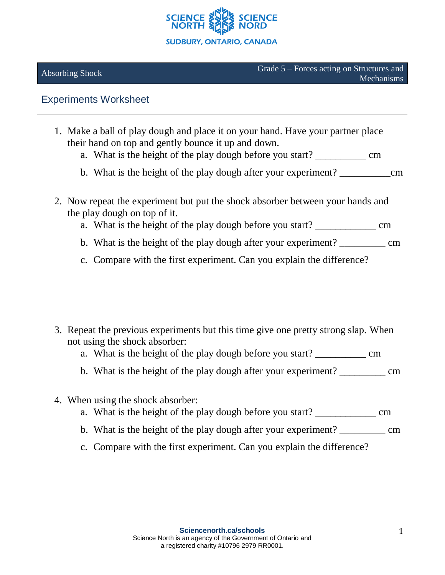

## Experiments Worksheet

- 1. Make a ball of play dough and place it on your hand. Have your partner place their hand on top and gently bounce it up and down.
	- a. What is the height of the play dough before you start? \_\_\_\_\_\_\_\_\_\_\_\_ cm
	- b. What is the height of the play dough after your experiment? come
- 2. Now repeat the experiment but put the shock absorber between your hands and the play dough on top of it.
	- a. What is the height of the play dough before you start? cm
	- b. What is the height of the play dough after your experiment? \_\_\_\_\_\_\_\_\_\_ cm
	- c. Compare with the first experiment. Can you explain the difference?

- 3. Repeat the previous experiments but this time give one pretty strong slap. When not using the shock absorber:
	- a. What is the height of the play dough before you start? \_\_\_\_\_\_\_\_\_\_\_\_\_\_\_ cm
	- b. What is the height of the play dough after your experiment? \_\_\_\_\_\_\_\_\_\_ cm
- 4. When using the shock absorber:
	- a. What is the height of the play dough before you start? \_\_\_\_\_\_\_\_\_\_\_\_\_\_\_\_\_\_\_\_ cm
	- b. What is the height of the play dough after your experiment? \_\_\_\_\_\_\_\_\_\_\_\_\_\_\_ cm
	- c. Compare with the first experiment. Can you explain the difference?